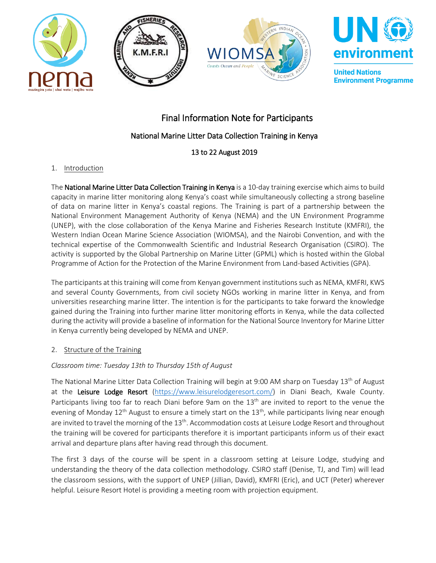







**United Nations Environment Programme** 

# Final Information Note for Participants

## National Marine Litter Data Collection Training in Kenya

## 13 to 22 August 2019

## 1. Introduction

The National Marine Litter Data Collection Training in Kenya is a 10-day training exercise which aims to build capacity in marine litter monitoring along Kenya's coast while simultaneously collecting a strong baseline of data on marine litter in Kenya's coastal regions. The Training is part of a partnership between the National Environment Management Authority of Kenya (NEMA) and the UN Environment Programme (UNEP), with the close collaboration of the Kenya Marine and Fisheries Research Institute (KMFRI), the Western Indian Ocean Marine Science Association (WIOMSA), and the Nairobi Convention, and with the technical expertise of the Commonwealth Scientific and Industrial Research Organisation (CSIRO). The activity is supported by the Global Partnership on Marine Litter (GPML) which is hosted within the Global Programme of Action for the Protection of the Marine Environment from Land-based Activities (GPA).

The participants at this training will come from Kenyan government institutions such as NEMA, KMFRI, KWS and several County Governments, from civil society NGOs working in marine litter in Kenya, and from universities researching marine litter. The intention is for the participants to take forward the knowledge gained during the Training into further marine litter monitoring efforts in Kenya, while the data collected during the activity will provide a baseline of information for the National Source Inventory for Marine Litter in Kenya currently being developed by NEMA and UNEP.

#### 2. Structure of the Training

## *Classroom time: Tuesday 13th to Thursday 15th of August*

The National Marine Litter Data Collection Training will begin at 9:00 AM sharp on Tuesday 13<sup>th</sup> of August at the Leisure Lodge Resort [\(https://www.leisurelodgeresort.com/\)](https://www.leisurelodgeresort.com/) in Diani Beach, Kwale County. Participants living too far to reach Diani before 9am on the 13<sup>th</sup> are invited to report to the venue the evening of Monday 12<sup>th</sup> August to ensure a timely start on the 13<sup>th</sup>, while participants living near enough are invited to travel the morning of the 13<sup>th</sup>. Accommodation costs at Leisure Lodge Resort and throughout the training will be covered for participants therefore it is important participants inform us of their exact arrival and departure plans after having read through this document.

The first 3 days of the course will be spent in a classroom setting at Leisure Lodge, studying and understanding the theory of the data collection methodology. CSIRO staff (Denise, TJ, and Tim) will lead the classroom sessions, with the support of UNEP (Jillian, David), KMFRI (Eric), and UCT (Peter) wherever helpful. Leisure Resort Hotel is providing a meeting room with projection equipment.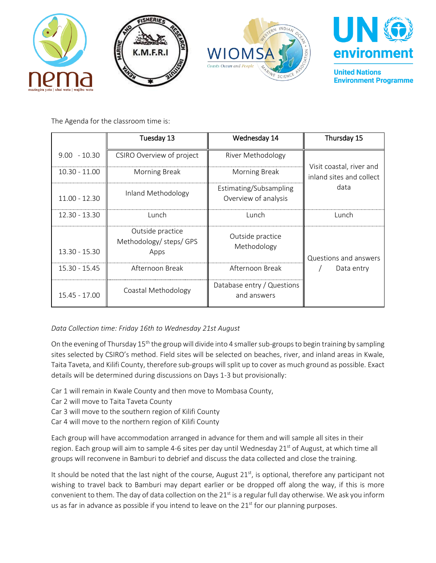



**United Nations Environment Programme** 

The Agenda for the classroom time is:

|                 | Tuesday 13                                          | Wednesday 14                                   | Thursday 15                                          |
|-----------------|-----------------------------------------------------|------------------------------------------------|------------------------------------------------------|
| $9.00 - 10.30$  | CSIRO Overview of project                           | River Methodology                              |                                                      |
| $10.30 - 11.00$ | Morning Break                                       | Morning Break                                  | Visit coastal, river and<br>inland sites and collect |
| $11.00 - 12.30$ | Inland Methodology                                  | Estimating/Subsampling<br>Overview of analysis | data                                                 |
| 12.30 - 13.30   | Lunch                                               | Lunch                                          | Lunch                                                |
| 13.30 - 15.30   | Outside practice<br>Methodology/ steps/ GPS<br>Apps | Outside practice<br>Methodology                | Questions and answers                                |
| $15.30 - 15.45$ | Afternoon Break                                     | Afternoon Break                                | Data entry                                           |
| 15.45 - 17.00   | Coastal Methodology                                 | Database entry / Questions<br>and answers      |                                                      |

# *Data Collection time: Friday 16th to Wednesday 21st August*

On the evening of Thursday 15<sup>th</sup> the group will divide into 4 smaller sub-groups to begin training by sampling sites selected by CSIRO's method. Field sites will be selected on beaches, river, and inland areas in Kwale, Taita Taveta, and Kilifi County, therefore sub-groups will split up to cover as much ground as possible. Exact details will be determined during discussions on Days 1-3 but provisionally:

- Car 1 will remain in Kwale County and then move to Mombasa County,
- Car 2 will move to Taita Taveta County
- Car 3 will move to the southern region of Kilifi County
- Car 4 will move to the northern region of Kilifi County

Each group will have accommodation arranged in advance for them and will sample all sites in their region. Each group will aim to sample 4-6 sites per day until Wednesday 21<sup>st</sup> of August, at which time all groups will reconvene in Bamburi to debrief and discuss the data collected and close the training.

It should be noted that the last night of the course, August 21<sup>st</sup>, is optional, therefore any participant not wishing to travel back to Bamburi may depart earlier or be dropped off along the way, if this is more convenient to them. The day of data collection on the  $21^{st}$  is a regular full day otherwise. We ask you inform us as far in advance as possible if you intend to leave on the  $21<sup>st</sup>$  for our planning purposes.